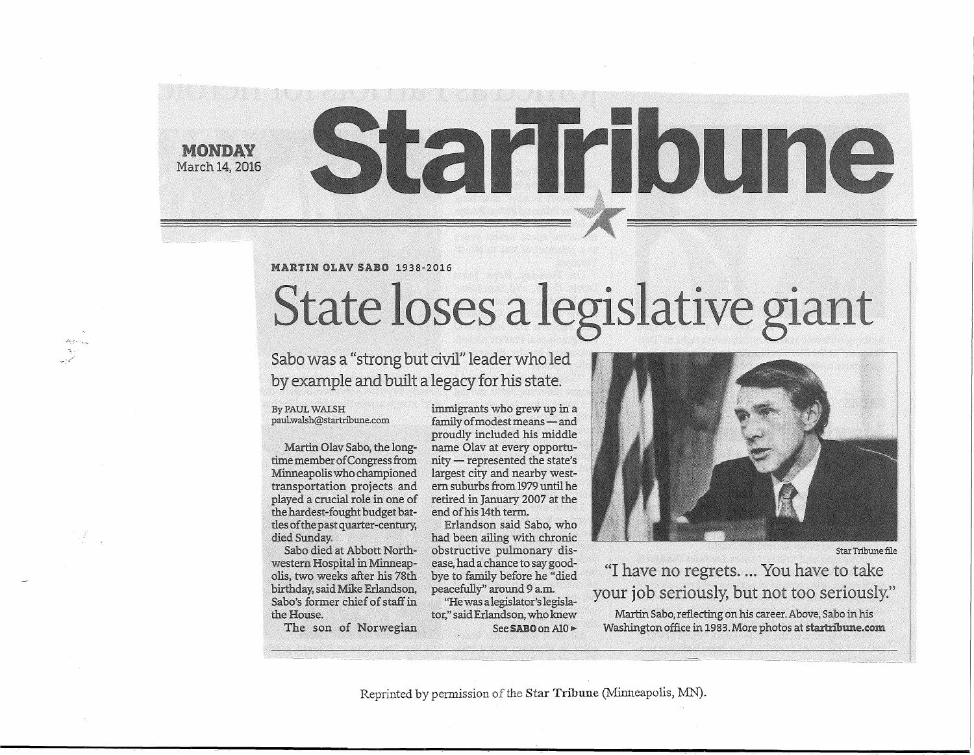**MONDAY** March 14, 2016

# Starifioune

# MARTIN OLAV SABO 1938-2016

# State loses a legislative giant

# Sabo was a "strong but civil" leader who led by example and built a legacy for his state.

### By PAUL WALSH paulwalsh@startribune.com

Martin Olav Sabo, the longtime member of Congress from Minneapolis who championed transportation projects and played a crucial role in one of the hardest-fought budget battles of the past quarter-century, died Sunday.

Sabo died at Abbott Northwestern Hospital in Minneapolis, two weeks after his 78th birthday, said Mike Erlandson, Sabo's former chief of staff in the House.

The son of Norwegian

immigrants who grew up in a family of modest means - and proudly included his middle name Olav at every opportu  $n$ ity — represented the state's largest city and nearby western suburbs from 1979 until he retired in January 2007 at the end of his 14th term.

Erlandson said Sabo, who peacefully" around 9 am.

See SABO on Al0  $\blacktriangleright$ 

had been ailing with chronic obstructive pulmonary disease, had a chance to say goodbye to family before he "died

"He was alegislator's legislator," said Erlandson, who knew



Star Tribune file

"I have no regrets. ... You have to take your job seriously, but not too seriously." Martin Sabo, reflecting on his career.Above, Sabo in his Washington office in 1983. More photos at startribune.com

Reprinted by permission of the Star **Tribune** (Minneapolis, MN).